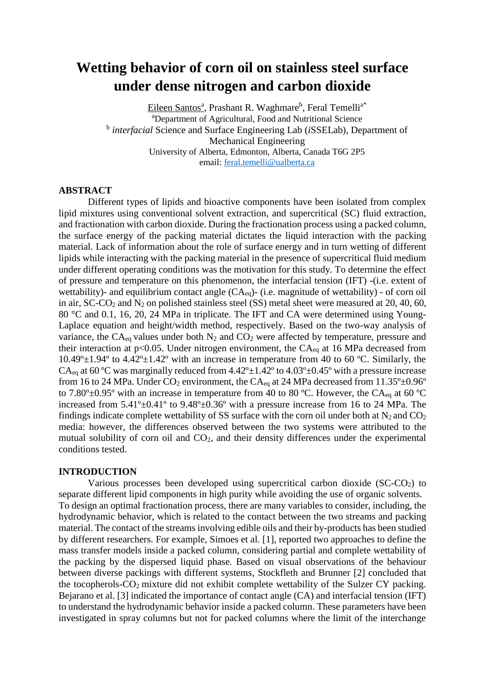# **Wetting behavior of corn oil on stainless steel surface under dense nitrogen and carbon dioxide**

<u>Eileen Santosª,</u> Prashant R. Waghmare<sup>b</sup>, Feral Temelli<sup>a\*</sup> <sup>a</sup>Department of Agricultural, Food and Nutritional Science b *interfacial* Science and Surface Engineering Lab (*i*SSELab), Department of Mechanical Engineering University of Alberta, Edmonton, Alberta, Canada T6G 2P5 email: [feral.temelli@ualberta.ca](mailto:feral.temelli@ualberta.ca)

# **ABSTRACT**

Different types of lipids and bioactive components have been isolated from complex lipid mixtures using conventional solvent extraction, and supercritical (SC) fluid extraction, and fractionation with carbon dioxide. During the fractionation process using a packed column, the surface energy of the packing material dictates the liquid interaction with the packing material. Lack of information about the role of surface energy and in turn wetting of different lipids while interacting with the packing material in the presence of supercritical fluid medium under different operating conditions was the motivation for this study. To determine the effect of pressure and temperature on this phenomenon, the interfacial tension (IFT) -(i.e. extent of wettability)- and equilibrium contact angle  $(CA_{eq})$ - (i.e. magnitude of wettability) - of corn oil in air,  $SCCO<sub>2</sub>$  and  $N<sub>2</sub>$  on polished stainless steel (SS) metal sheet were measured at 20, 40, 60, 80 °C and 0.1, 16, 20, 24 MPa in triplicate. The IFT and CA were determined using Young-Laplace equation and height/width method, respectively. Based on the two-way analysis of variance, the  $CA_{eq}$  values under both  $N_2$  and  $CO_2$  were affected by temperature, pressure and their interaction at  $p<0.05$ . Under nitrogen environment, the CA<sub>eq</sub> at 16 MPa decreased from  $10.49^{\circ}$ ±1.94° to  $4.42^{\circ}$ ±1.42° with an increase in temperature from 40 to 60 °C. Similarly, the CA<sub>eq</sub> at 60 °C was marginally reduced from  $4.42^{\circ}$  ±  $1.42^{\circ}$  to  $4.03^{\circ}$  ±  $0.45^{\circ}$  with a pressure increase from 16 to 24 MPa. Under  $CO_2$  environment, the  $CA_{eq}$  at 24 MPa decreased from 11.35° $\pm$ 0.96° to 7.80 $\degree$ ±0.95 $\degree$  with an increase in temperature from 40 to 80  $\degree$ C. However, the CA<sub>eq</sub> at 60  $\degree$ C increased from 5.41º±0.41º to 9.48º±0.36º with a pressure increase from 16 to 24 MPa. The findings indicate complete wettability of SS surface with the corn oil under both at  $N_2$  and  $CO_2$ media: however, the differences observed between the two systems were attributed to the mutual solubility of corn oil and CO2, and their density differences under the experimental conditions tested.

## **INTRODUCTION**

Various processes been developed using supercritical carbon dioxide  $(SC-CO<sub>2</sub>)$  to separate different lipid components in high purity while avoiding the use of organic solvents. To design an optimal fractionation process, there are many variables to consider, including, the hydrodynamic behavior, which is related to the contact between the two streams and packing material. The contact of the streams involving edible oils and their by-products has been studied by different researchers. For example, Simoes et al. [1], reported two approaches to define the mass transfer models inside a packed column, considering partial and complete wettability of the packing by the dispersed liquid phase. Based on visual observations of the behaviour between diverse packings with different systems, Stockfleth and Brunner [2] concluded that the tocopherols-CO2 mixture did not exhibit complete wettability of the Sulzer CY packing. Bejarano et al. [3] indicated the importance of contact angle (CA) and interfacial tension (IFT) to understand the hydrodynamic behavior inside a packed column. These parameters have been investigated in spray columns but not for packed columns where the limit of the interchange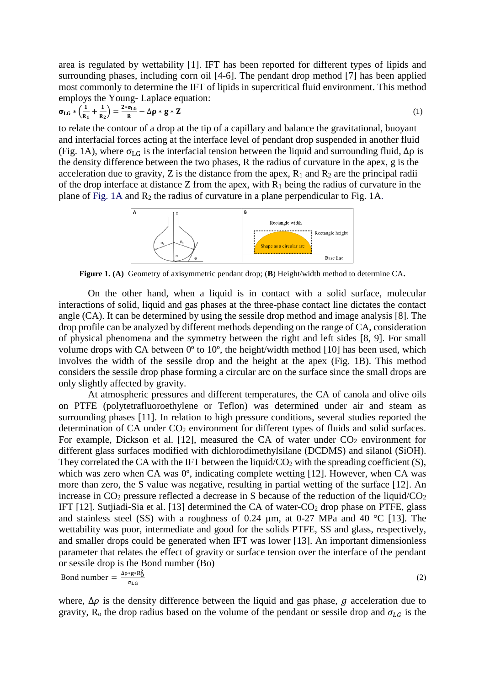area is regulated by wettability [1]. IFT has been reported for different types of lipids and surrounding phases, including corn oil [4-6]. The pendant drop method [7] has been applied most commonly to determine the IFT of lipids in supercritical fluid environment. This method employs the Young- Laplace equation:

$$
\sigma_{LG} * \left(\frac{1}{R_1} + \frac{1}{R_2}\right) = \frac{2 * \sigma_{LG}}{R} - \Delta \rho * g * Z \tag{1}
$$

to relate the contour of a drop at the tip of a capillary and balance the gravitational, buoyant and interfacial forces acting at the interface level of pendant drop suspended in another fluid (Fig. 1A), where  $\sigma_{LG}$  is the interfacial tension between the liquid and surrounding fluid,  $\Delta \rho$  is the density difference between the two phases, R the radius of curvature in the apex, g is the acceleration due to gravity, Z is the distance from the apex,  $R_1$  and  $R_2$  are the principal radii of the drop interface at distance Z from the apex, with  $R_1$  being the radius of curvature in the plane of Fig.  $1A$  and  $R_2$  the radius of curvature in a plane perpendicular to Fig. 1A.



**Figure 1. (A)** Geometry of axisymmetric pendant drop; (**B**) Height/width method to determine CA**.**

On the other hand, when a liquid is in contact with a solid surface, molecular interactions of solid, liquid and gas phases at the three-phase contact line dictates the contact angle (CA). It can be determined by using the sessile drop method and image analysis [8]. The drop profile can be analyzed by different methods depending on the range of CA, consideration of physical phenomena and the symmetry between the right and left sides [8, 9]. For small volume drops with CA between 0º to 10º, the height/width method [10] has been used, which involves the width of the sessile drop and the height at the apex (Fig. 1B). This method considers the sessile drop phase forming a circular arc on the surface since the small drops are only slightly affected by gravity.

At atmospheric pressures and different temperatures, the CA of canola and olive oils on PTFE (polytetrafluoroethylene or Teflon) was determined under air and steam as surrounding phases [11]. In relation to high pressure conditions, several studies reported the determination of CA under CO<sub>2</sub> environment for different types of fluids and solid surfaces. For example, Dickson et al. [12], measured the CA of water under  $CO<sub>2</sub>$  environment for different glass surfaces modified with dichlorodimethylsilane (DCDMS) and silanol (SiOH). They correlated the CA with the IFT between the liquid/ $CO<sub>2</sub>$  with the spreading coefficient (S), which was zero when CA was  $0^{\circ}$ , indicating complete wetting [12]. However, when CA was more than zero, the S value was negative, resulting in partial wetting of the surface [12]. An increase in  $CO<sub>2</sub>$  pressure reflected a decrease in S because of the reduction of the liquid/ $CO<sub>2</sub>$ IFT [12]. Sutjiadi-Sia et al. [13] determined the CA of water-CO<sup>2</sup> drop phase on PTFE, glass and stainless steel (SS) with a roughness of 0.24  $\mu$ m, at 0-27 MPa and 40 °C [13]. The wettability was poor, intermediate and good for the solids PTFE, SS and glass, respectively, and smaller drops could be generated when IFT was lower [13]. An important dimensionless parameter that relates the effect of gravity or surface tension over the interface of the pendant or sessile drop is the Bond number (Bo)

Bond number =  $\frac{\Delta \rho * g * R_0^2}{2}$ σLG (2)

where,  $\Delta \rho$  is the density difference between the liquid and gas phase,  $\sigma$  acceleration due to gravity, R<sub>o</sub> the drop radius based on the volume of the pendant or sessile drop and  $\sigma_{LG}$  is the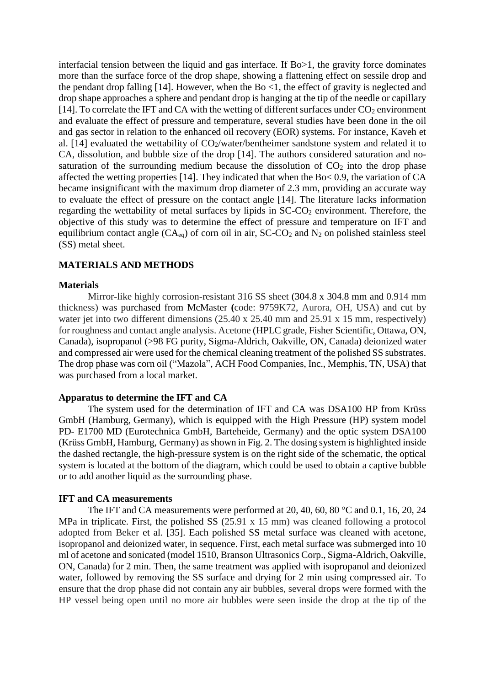interfacial tension between the liquid and gas interface. If Bo>1, the gravity force dominates more than the surface force of the drop shape, showing a flattening effect on sessile drop and the pendant drop falling [14]. However, when the Bo  $\leq$ 1, the effect of gravity is neglected and drop shape approaches a sphere and pendant drop is hanging at the tip of the needle or capillary [14]. To correlate the IFT and CA with the wetting of different surfaces under  $CO<sub>2</sub>$  environment and evaluate the effect of pressure and temperature, several studies have been done in the oil and gas sector in relation to the enhanced oil recovery (EOR) systems. For instance, Kaveh et al. [14] evaluated the wettability of  $CO<sub>2</sub>/water/bentheimer$  sandstone system and related it to CA, dissolution, and bubble size of the drop [14]. The authors considered saturation and nosaturation of the surrounding medium because the dissolution of  $CO<sub>2</sub>$  into the drop phase affected the wetting properties [14]. They indicated that when the Bo< 0.9, the variation of CA became insignificant with the maximum drop diameter of 2.3 mm, providing an accurate way to evaluate the effect of pressure on the contact angle [14]. The literature lacks information regarding the wettability of metal surfaces by lipids in  $SC\text{-}CO<sub>2</sub>$  environment. Therefore, the objective of this study was to determine the effect of pressure and temperature on IFT and equilibrium contact angle  $(CA_{eq})$  of corn oil in air,  $SC\text{-}CO<sub>2</sub>$  and  $N<sub>2</sub>$  on polished stainless steel (SS) metal sheet.

# **MATERIALS AND METHODS**

#### **Materials**

Mirror-like highly corrosion-resistant 316 SS sheet (304.8 x 304.8 mm and 0.914 mm thickness) was purchased from McMaster **(**code: 9759K72, Aurora, OH, USA) and cut by water jet into two different dimensions (25.40 x 25.40 mm and 25.91 x 15 mm, respectively) for roughness and contact angle analysis. Acetone (HPLC grade, Fisher Scientific, Ottawa, ON, Canada), isopropanol (>98 FG purity, Sigma-Aldrich, Oakville, ON, Canada) deionized water and compressed air were used for the chemical cleaning treatment of the polished SS substrates. The drop phase was corn oil ("Mazola", ACH Food Companies, Inc., Memphis, TN, USA) that was purchased from a local market.

## **Apparatus to determine the IFT and CA**

The system used for the determination of IFT and CA was DSA100 HP from Krüss GmbH (Hamburg, Germany), which is equipped with the High Pressure (HP) system model PD- E1700 MD (Eurotechnica GmbH, Barteheide, Germany) and the optic system DSA100 (Krüss GmbH, Hamburg, Germany) as shown in Fig. 2. The dosing system is highlighted inside the dashed rectangle, the high-pressure system is on the right side of the schematic, the optical system is located at the bottom of the diagram, which could be used to obtain a captive bubble or to add another liquid as the surrounding phase.

#### **IFT and CA measurements**

The IFT and CA measurements were performed at 20, 40, 60, 80 °C and 0.1, 16, 20, 24 MPa in triplicate. First, the polished SS (25.91 x 15 mm) was cleaned following a protocol adopted from Beker et al. [35]. Each polished SS metal surface was cleaned with acetone, isopropanol and deionized water, in sequence. First, each metal surface was submerged into 10 ml of acetone and sonicated (model 1510, Branson Ultrasonics Corp., Sigma-Aldrich, Oakville, ON, Canada) for 2 min. Then, the same treatment was applied with isopropanol and deionized water, followed by removing the SS surface and drying for 2 min using compressed air. To ensure that the drop phase did not contain any air bubbles, several drops were formed with the HP vessel being open until no more air bubbles were seen inside the drop at the tip of the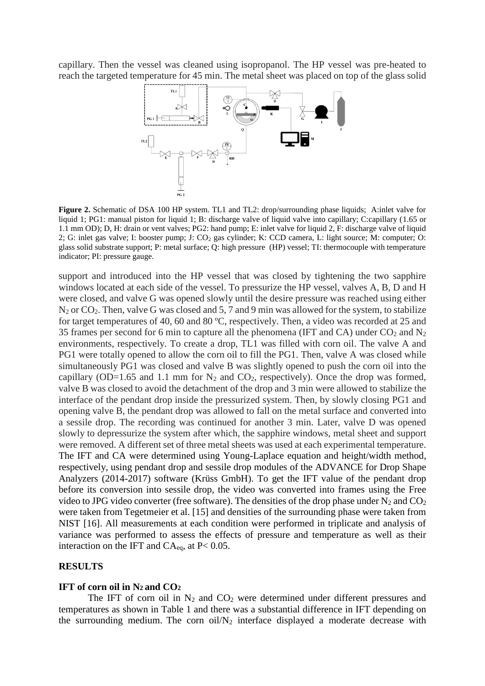capillary. Then the vessel was cleaned using isopropanol. The HP vessel was pre-heated to reach the targeted temperature for 45 min. The metal sheet was placed on top of the glass solid



**Figure 2.** Schematic of DSA 100 HP system. TL1 and TL2: drop/surrounding phase liquids; A:inlet valve for liquid 1; PG1: manual piston for liquid 1; B: discharge valve of liquid valve into capillary; C:capillary (1.65 or 1.1 mm OD); D, H: drain or vent valves; PG2: hand pump; E: inlet valve for liquid 2, F: discharge valve of liquid 2; G: inlet gas valve; I: booster pump; J: CO<sup>2</sup> gas cylinder; K: CCD camera, L: light source; M: computer; O: glass solid substrate support; P: metal surface; Q: high pressure (HP) vessel; TI: thermocouple with temperature indicator; PI: pressure gauge.

support and introduced into the HP vessel that was closed by tightening the two sapphire windows located at each side of the vessel. To pressurize the HP vessel, valves A, B, D and H were closed, and valve G was opened slowly until the desire pressure was reached using either  $N_2$  or  $CO_2$ . Then, valve G was closed and 5, 7 and 9 min was allowed for the system, to stabilize for target temperatures of 40, 60 and 80 ºC, respectively. Then, a video was recorded at 25 and 35 frames per second for 6 min to capture all the phenomena (IFT and CA) under  $CO<sub>2</sub>$  and  $N<sub>2</sub>$ environments, respectively. To create a drop, TL1 was filled with corn oil. The valve A and PG1 were totally opened to allow the corn oil to fill the PG1. Then, valve A was closed while simultaneously PG1 was closed and valve B was slightly opened to push the corn oil into the capillary (OD=1.65 and 1.1 mm for  $N_2$  and  $CO_2$ , respectively). Once the drop was formed, valve B was closed to avoid the detachment of the drop and 3 min were allowed to stabilize the interface of the pendant drop inside the pressurized system. Then, by slowly closing PG1 and opening valve B, the pendant drop was allowed to fall on the metal surface and converted into a sessile drop. The recording was continued for another 3 min. Later, valve D was opened slowly to depressurize the system after which, the sapphire windows, metal sheet and support were removed. A different set of three metal sheets was used at each experimental temperature. The IFT and CA were determined using Young-Laplace equation and height/width method, respectively, using pendant drop and sessile drop modules of the ADVANCE for Drop Shape Analyzers (2014-2017) software (Krüss GmbH). To get the IFT value of the pendant drop before its conversion into sessile drop, the video was converted into frames using the Free video to JPG video converter (free software). The densities of the drop phase under  $N_2$  and  $CO_2$ were taken from Tegetmeier et al. [15] and densities of the surrounding phase were taken from NIST [16]. All measurements at each condition were performed in triplicate and analysis of variance was performed to assess the effects of pressure and temperature as well as their interaction on the IFT and  $CA_{eq}$ , at P< 0.05.

# **RESULTS**

#### **IFT of corn oil in N<sup>2</sup> and CO<sup>2</sup>**

The IFT of corn oil in  $N_2$  and  $CO_2$  were determined under different pressures and temperatures as shown in Table 1 and there was a substantial difference in IFT depending on the surrounding medium. The corn  $oi/N_2$  interface displayed a moderate decrease with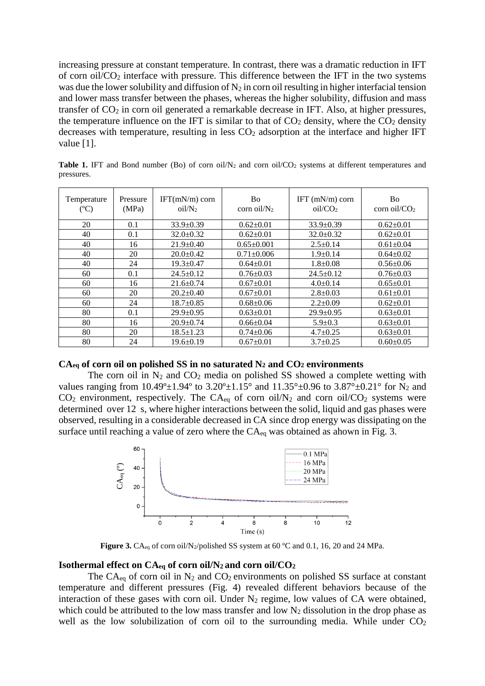increasing pressure at constant temperature. In contrast, there was a dramatic reduction in IFT of corn oil/CO<sup>2</sup> interface with pressure. This difference between the IFT in the two systems was due the lower solubility and diffusion of  $N_2$  in corn oil resulting in higher interfacial tension and lower mass transfer between the phases, whereas the higher solubility, diffusion and mass transfer of  $CO<sub>2</sub>$  in corn oil generated a remarkable decrease in IFT. Also, at higher pressures, the temperature influence on the IFT is similar to that of  $CO<sub>2</sub>$  density, where the  $CO<sub>2</sub>$  density decreases with temperature, resulting in less  $CO<sub>2</sub>$  adsorption at the interface and higher IFT value [1].

| Temperature<br>$(^{\circ}C)$ | Pressure<br>(MPa) | $IFT(mN/m)$ corn<br>oil/N <sub>2</sub> | Bo<br>corn oil/ $N_2$ | IFT $(mN/m)$ corn<br>oiI/CO <sub>2</sub> | <b>Bo</b><br>corn oil/ $CO2$ |
|------------------------------|-------------------|----------------------------------------|-----------------------|------------------------------------------|------------------------------|
| 20                           | 0.1               | $33.9 \pm 0.39$                        | $0.62 \pm 0.01$       | $33.9 \pm 0.39$                          | $0.62 \pm 0.01$              |
| 40                           | 0.1               | $32.0 \pm 0.32$                        | $0.62 \pm 0.01$       | $32.0 \pm 0.32$                          | $0.62 \pm 0.01$              |
| 40                           | 16                | $21.9 \pm 0.40$                        | $0.65 \pm 0.001$      | $2.5 \pm 0.14$                           | $0.61 \pm 0.04$              |
| 40                           | 20                | $20.0+0.42$                            | $0.71 \pm 0.006$      | $1.9+0.14$                               | $0.64 + 0.02$                |
| 40                           | 24                | $19.3 \pm 0.47$                        | $0.64 \pm 0.01$       | $1.8 \pm 0.08$                           | $0.56 \pm 0.06$              |
| 60                           | 0.1               | $24.5 \pm 0.12$                        | $0.76 \pm 0.03$       | $24.5 \pm 0.12$                          | $0.76 \pm 0.03$              |
| 60                           | 16                | $21.6 \pm 0.74$                        | $0.67 \pm 0.01$       | $4.0 \pm 0.14$                           | $0.65 \pm 0.01$              |
| 60                           | 20                | $20.2 \pm 0.40$                        | $0.67 \pm 0.01$       | $2.8 \pm 0.03$                           | $0.61 \pm 0.01$              |
| 60                           | 24                | $18.7 \pm 0.85$                        | $0.68 \pm 0.06$       | $2.2 \pm 0.09$                           | $0.62 \pm 0.01$              |
| 80                           | 0.1               | $29.9 \pm 0.95$                        | $0.63 \pm 0.01$       | $29.9 \pm 0.95$                          | $0.63 \pm 0.01$              |
| 80                           | 16                | $20.9 \pm 0.74$                        | $0.66 \pm 0.04$       | $5.9 \pm 0.3$                            | $0.63 \pm 0.01$              |
| 80                           | 20                | $18.5 \pm 1.23$                        | $0.74 \pm 0.06$       | $4.7 \pm 0.25$                           | $0.63 \pm 0.01$              |
| 80                           | 24                | $19.6 \pm 0.19$                        | $0.67+0.01$           | $3.7+0.25$                               | $0.60 \pm 0.05$              |

**Table 1.** IFT and Bond number (Bo) of corn oil/N<sub>2</sub> and corn oil/CO<sub>2</sub> systems at different temperatures and pressures.

## **CAeq of corn oil on polished SS in no saturated N<sup>2</sup> and CO<sup>2</sup> environments**

The corn oil in  $N_2$  and  $CO_2$  media on polished SS showed a complete wetting with values ranging from 10.49°±1.94° to 3.20°±1.15° and 11.35°±0.96 to 3.87°±0.21° for N<sub>2</sub> and  $CO<sub>2</sub>$  environment, respectively. The  $CA<sub>eq</sub>$  of corn oil/N<sub>2</sub> and corn oil/CO<sub>2</sub> systems were determined over 12 s, where higher interactions between the solid, liquid and gas phases were observed, resulting in a considerable decreased in CA since drop energy was dissipating on the surface until reaching a value of zero where the CA<sub>eq</sub> was obtained as ahown in Fig. 3.



Figure 3. CA<sub>eq</sub> of corn oil/N<sub>2</sub>/polished SS system at 60 °C and 0.1, 16, 20 and 24 MPa.

# **Isothermal effect on CAeq of corn oil/N2 and corn oil/CO<sup>2</sup>**

The  $CA_{eq}$  of corn oil in  $N_2$  and  $CO_2$  environments on polished SS surface at constant temperature and different pressures (Fig. 4) revealed different behaviors because of the interaction of these gases with corn oil. Under  $N_2$  regime, low values of CA were obtained, which could be attributed to the low mass transfer and low  $N_2$  dissolution in the drop phase as well as the low solubilization of corn oil to the surrounding media. While under  $CO<sub>2</sub>$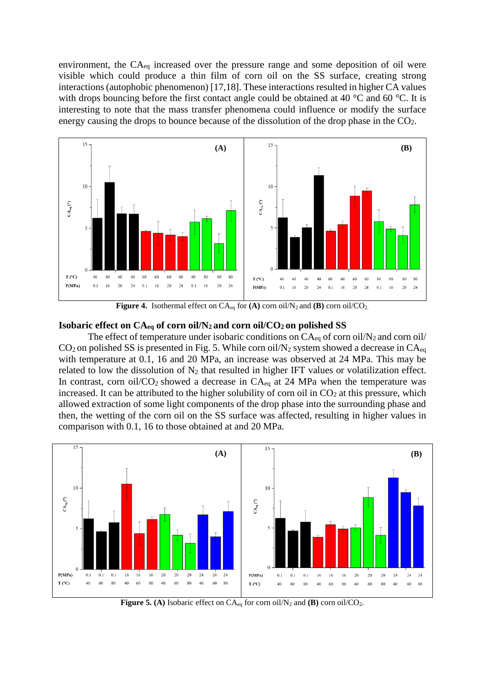environment, the CAeq increased over the pressure range and some deposition of oil were visible which could produce a thin film of corn oil on the SS surface, creating strong interactions (autophobic phenomenon) [17,18]. These interactions resulted in higher CA values with drops bouncing before the first contact angle could be obtained at 40  $\degree$ C and 60  $\degree$ C. It is interesting to note that the mass transfer phenomena could influence or modify the surface energy causing the drops to bounce because of the dissolution of the drop phase in the CO2.



**Figure 4.** Isothermal effect on  $CA_{eq}$  for  $(A)$  corn oil/N<sub>2</sub> and  $(B)$  corn oil/CO<sub>2</sub>.

# **Isobaric effect on CAeq of corn oil/N2 and corn oil/CO2 on polished SS**

The effect of temperature under isobaric conditions on  $CA_{eq}$  of corn oil/N<sub>2</sub> and corn oil/  $CO<sub>2</sub>$  on polished SS is presented in Fig. 5. While corn oil/N<sub>2</sub> system showed a decrease in  $CA<sub>eq</sub>$ with temperature at 0.1, 16 and 20 MPa, an increase was observed at 24 MPa. This may be related to low the dissolution of  $N_2$  that resulted in higher IFT values or volatilization effect. In contrast, corn oil/ $CO_2$  showed a decrease in  $CA_{eq}$  at 24 MPa when the temperature was increased. It can be attributed to the higher solubility of corn oil in  $CO<sub>2</sub>$  at this pressure, which allowed extraction of some light components of the drop phase into the surrounding phase and then, the wetting of the corn oil on the SS surface was affected, resulting in higher values in comparison with 0.1, 16 to those obtained at and 20 MPa.



**Figure 5. (A)** Isobaric effect on  $CA_{eq}$  for corn oil/N<sub>2</sub> and **(B)** corn oil/CO<sub>2</sub>.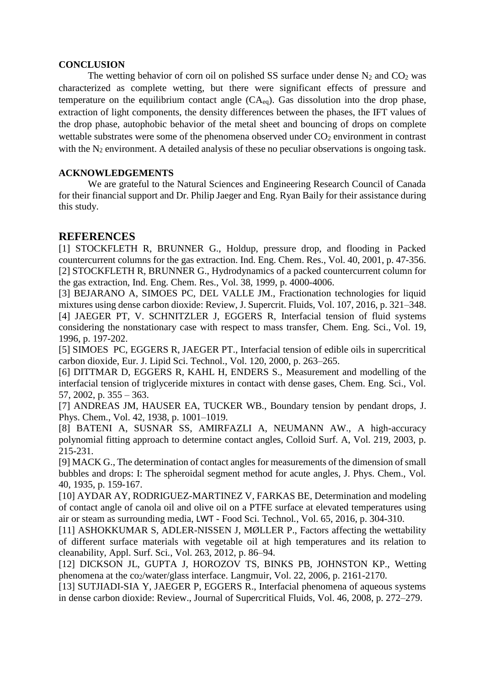# **CONCLUSION**

The wetting behavior of corn oil on polished SS surface under dense  $N_2$  and  $CO_2$  was characterized as complete wetting, but there were significant effects of pressure and temperature on the equilibrium contact angle  $(CA_{eq})$ . Gas dissolution into the drop phase, extraction of light components, the density differences between the phases, the IFT values of the drop phase, autophobic behavior of the metal sheet and bouncing of drops on complete wettable substrates were some of the phenomena observed under  $CO<sub>2</sub>$  environment in contrast with the  $N_2$  environment. A detailed analysis of these no peculiar observations is ongoing task.

# **ACKNOWLEDGEMENTS**

We are grateful to the Natural Sciences and Engineering Research Council of Canada for their financial support and Dr. Philip Jaeger and Eng. Ryan Baily for their assistance during this study.

# **REFERENCES**

[1] STOCKFLETH R, BRUNNER G., Holdup, pressure drop, and flooding in Packed countercurrent columns for the gas extraction. [Ind. Eng. Chem. Res.,](https://pubs.acs.org/journal/iecred) Vol. 40, 2001, p. 47-356. [2] STOCKFLETH R, BRUNNER G., Hydrodynamics of a packed countercurrent column for the gas extraction, [Ind. Eng. Chem. Res.,](https://pubs.acs.org/journal/iecred) Vol. 38, 1999, p. 4000-4006.

[3] BEJARANO A, SIMOES PC, DEL VALLE JM., Fractionation technologies for liquid mixtures using dense carbon dioxide: Review, J. Supercrit. Fluids, Vol. 107, 2016, p. 321–348. [4] JAEGER PT, V. SCHNITZLER J, EGGERS R, Interfacial tension of fluid systems considering the nonstationary case with respect to mass transfer, [Chem. Eng. Sci.,](https://www.journals.elsevier.com/chemical-engineering-science/) Vol. 19, 1996, p. 197-202.

[5] SIMOES PC, EGGERS R, JAEGER PT., Interfacial tension of edible oils in supercritical carbon dioxide, [Eur. J. Lipid Sci. Technol.,](http://onlinelibrary.wiley.com/journal/10.1002/(ISSN)1438-9312) Vol. 120, 2000, p. 263–265.

[6] DITTMAR D, EGGERS R, KAHL H, ENDERS S., Measurement and modelling of the interfacial tension of triglyceride mixtures in contact with dense gases, Chem. Eng. Sci., Vol. 57, 2002, p. 355 – 363.

[7] ANDREAS JM, HAUSER EA, TUCKER WB., Boundary tension by pendant drops, [J.](https://pubs.acs.org/journal/jpcafh)  [Phys. Chem., V](https://pubs.acs.org/journal/jpcafh)ol. 42, 1938, p. 1001–1019.

[8] BATENI A, SUSNAR SS, AMIRFAZLI A, NEUMANN AW., A high-accuracy polynomial fitting approach to determine contact angles, Colloid Surf. A, Vol. 219, 2003, p. 215-231.

[9] MACK G., The determination of contact angles for measurements of the dimension of small bubbles and drops: I: The spheroidal segment method for acute angles, J. Phys. Chem., Vol. 40, 1935, p. 159-167.

[10] AYDAR AY, RODRIGUEZ-MARTINEZ V, FARKAS BE, Determination and modeling of contact angle of canola oil and olive oil on a PTFE surface at elevated temperatures using air or steam as surrounding media, LWT *-* Food Sci. Technol*.*, Vol. 65, 2016, p. 304-310.

[11] ASHOKKUMAR S, ADLER-NISSEN J, MØLLER P., Factors affecting the wettability of different surface materials with vegetable oil at high temperatures and its relation to cleanability, Appl. Surf. Sci*.*, Vol. 263, 2012, p. 86–94.

[12] DICKSON JL, GUPTA J, HOROZOV TS, BINKS PB, JOHNSTON KP., Wetting phenomena at the  $\frac{\text{co}_2\text{/water/glass}}{\text{interface}}$ . Langmuir, Vol. 22, 2006, p. 2161-2170.

[13] SUTJIADI-SIA Y, JAEGER P, EGGERS R., Interfacial phenomena of aqueous systems in dense carbon dioxide: Review., Journal of Supercritical Fluids, Vol. 46, 2008, p. 272–279.